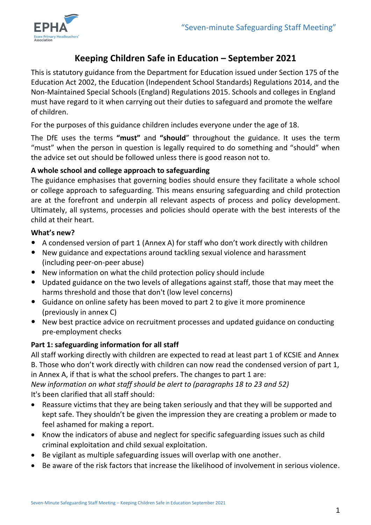

# **Keeping Children Safe in Education – September 2021**

This is statutory guidance from the Department for Education issued under Section 175 of the Education Act 2002, the Education (Independent School Standards) Regulations 2014, and the Non-Maintained Special Schools (England) Regulations 2015. Schools and colleges in England must have regard to it when carrying out their duties to safeguard and promote the welfare of children.

For the purposes of this guidance children includes everyone under the age of 18.

The DfE uses the terms **"must"** and **"should**" throughout the guidance. It uses the term "must" when the person in question is legally required to do something and "should" when the advice set out should be followed unless there is good reason not to.

## **A whole school and college approach to safeguarding**

The guidance emphasises that governing bodies should ensure they facilitate a whole school or college approach to safeguarding. This means ensuring safeguarding and child protection are at the forefront and underpin all relevant aspects of process and policy development. Ultimately, all systems, processes and policies should operate with the best interests of the child at their heart.

#### **What's new?**

- A condensed version of part 1 (Annex A) for staff who don't work directly with children
- New guidance and expectations around tackling sexual violence and harassment (including peer-on-peer abuse)
- New information on what the child protection policy should include
- Updated guidance on the two levels of allegations against staff, those that may meet the harms threshold and those that don't (low level concerns)
- Guidance on online safety has been moved to part 2 to give it more prominence (previously in annex C)
- New best practice advice on recruitment processes and updated guidance on conducting pre-employment checks

# **Part 1: safeguarding information for all staff**

All staff working directly with children are expected to read at least part 1 of KCSIE and Annex B. Those who don't work directly with children can now read the condensed version of part 1, in Annex A, if that is what the school prefers. The changes to part 1 are: *New information on what staff should be alert to (paragraphs 18 to 23 and 52)* It's been clarified that all staff should:

- Reassure victims that they are being taken seriously and that they will be supported and kept safe. They shouldn't be given the impression they are creating a problem or made to feel ashamed for making a report.
- Know the indicators of abuse and neglect for specific safeguarding issues such as child criminal exploitation and child sexual exploitation.
- Be vigilant as multiple safeguarding issues will overlap with one another.
- Be aware of the risk factors that increase the likelihood of involvement in serious violence.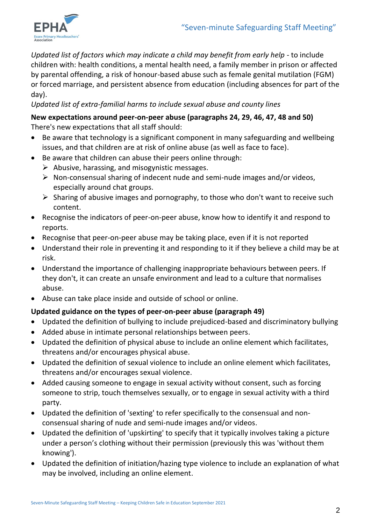*Updated list of factors which may indicate a child may benefit from early help* - to include children with: health conditions, a mental health need, a family member in prison or affected by parental offending, a risk of honour-based abuse such as female genital mutilation (FGM) or forced marriage, and persistent absence from education (including absences for part of the day).

## *Updated list of extra-familial harms to include sexual abuse and county lines*

**New expectations around peer-on-peer abuse (paragraphs 24, 29, 46, 47, 48 and 50)** There's new expectations that all staff should:

- Be aware that technology is a significant component in many safeguarding and wellbeing issues, and that children are at risk of online abuse (as well as face to face).
- Be aware that children can abuse their peers online through:
	- $\triangleright$  Abusive, harassing, and misogynistic messages.
	- $\triangleright$  Non-consensual sharing of indecent nude and semi-nude images and/or videos, especially around chat groups.
	- $\triangleright$  Sharing of abusive images and pornography, to those who don't want to receive such content.
- Recognise the indicators of peer-on-peer abuse, know how to identify it and respond to reports.
- Recognise that peer-on-peer abuse may be taking place, even if it is not reported
- Understand their role in preventing it and responding to it if they believe a child may be at risk.
- Understand the importance of challenging inappropriate behaviours between peers. If they don't, it can create an unsafe environment and lead to a culture that normalises abuse.
- Abuse can take place inside and outside of school or online.

## **Updated guidance on the types of peer-on-peer abuse (paragraph 49)**

- Updated the definition of bullying to include prejudiced-based and discriminatory bullying
- Added abuse in intimate personal relationships between peers.
- Updated the definition of physical abuse to include an online element which facilitates, threatens and/or encourages physical abuse.
- Updated the definition of sexual violence to include an online element which facilitates, threatens and/or encourages sexual violence.
- Added causing someone to engage in sexual activity without consent, such as forcing someone to strip, touch themselves sexually, or to engage in sexual activity with a third party.
- Updated the definition of 'sexting' to refer specifically to the consensual and nonconsensual sharing of nude and semi-nude images and/or videos.
- Updated the definition of 'upskirting' to specify that it typically involves taking a picture under a person's clothing without their permission (previously this was 'without them knowing').
- Updated the definition of initiation/hazing type violence to include an explanation of what may be involved, including an online element.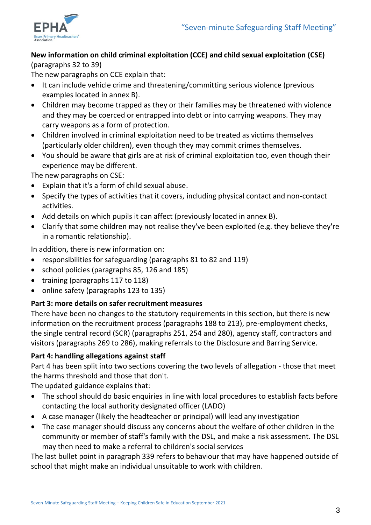

## **New information on child criminal exploitation (CCE) and child sexual exploitation (CSE)** (paragraphs 32 to 39)

The new paragraphs on CCE explain that:

- It can include vehicle crime and threatening/committing serious violence (previous examples located in annex B).
- Children may become trapped as they or their families may be threatened with violence and they may be coerced or entrapped into debt or into carrying weapons. They may carry weapons as a form of protection.
- Children involved in criminal exploitation need to be treated as victims themselves (particularly older children), even though they may commit crimes themselves.
- You should be aware that girls are at risk of criminal exploitation too, even though their experience may be different.

The new paragraphs on CSE:

- Explain that it's a form of child sexual abuse.
- Specify the types of activities that it covers, including physical contact and non-contact activities.
- Add details on which pupils it can affect (previously located in annex B).
- Clarify that some children may not realise they've been exploited (e.g. they believe they're in a romantic relationship).

In addition, there is new information on:

- responsibilities for safeguarding (paragraphs 81 to 82 and 119)
- school policies (paragraphs 85, 126 and 185)
- training (paragraphs 117 to 118)
- online safety (paragraphs 123 to 135)

## **Part 3: more details on safer recruitment measures**

There have been no changes to the statutory requirements in this section, but there is new information on the recruitment process (paragraphs 188 to 213), pre-employment checks, the single central record (SCR) (paragraphs 251, 254 and 280), agency staff, contractors and visitors (paragraphs 269 to 286), making referrals to the Disclosure and Barring Service.

## **Part 4: handling allegations against staff**

Part 4 has been split into two sections covering the two levels of allegation - those that meet the harms threshold and those that don't.

The updated guidance explains that:

- The school should do basic enquiries in line with local procedures to establish facts before contacting the local authority designated officer (LADO)
- A case manager (likely the headteacher or principal) will lead any investigation
- The case manager should discuss any concerns about the welfare of other children in the community or member of staff's family with the DSL, and make a risk assessment. The DSL may then need to make a referral to children's social services

The last bullet point in paragraph 339 refers to behaviour that may have happened outside of school that might make an individual unsuitable to work with children.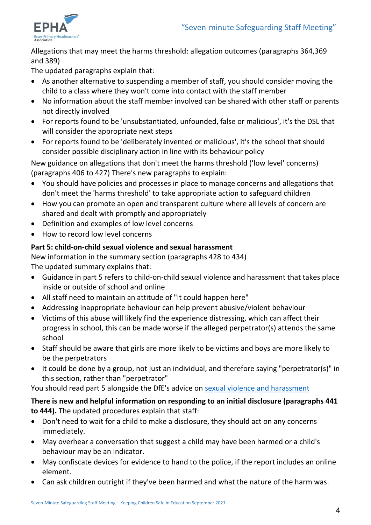

Allegations that may meet the harms threshold: allegation outcomes (paragraphs 364,369 and 389)

The updated paragraphs explain that:

- As another alternative to suspending a member of staff, you should consider moving the child to a class where they won't come into contact with the staff member
- No information about the staff member involved can be shared with other staff or parents not directly involved
- For reports found to be 'unsubstantiated, unfounded, false or malicious', it's the DSL that will consider the appropriate next steps
- For reports found to be 'deliberately invented or malicious', it's the school that should consider possible disciplinary action in line with its behaviour policy

New guidance on allegations that don't meet the harms threshold ('low level' concerns) (paragraphs 406 to 427) There's new paragraphs to explain:

- You should have policies and processes in place to manage concerns and allegations that don't meet the 'harms threshold' to take appropriate action to safeguard children
- How you can promote an open and transparent culture where all levels of concern are shared and dealt with promptly and appropriately
- Definition and examples of low level concerns
- How to record low level concerns

# **Part 5: child-on-child sexual violence and sexual harassment**

New information in the summary section (paragraphs 428 to 434) The updated summary explains that:

- Guidance in part 5 refers to child-on-child sexual violence and harassment that takes place inside or outside of school and online
- All staff need to maintain an attitude of "it could happen here"
- Addressing inappropriate behaviour can help prevent abusive/violent behaviour
- Victims of this abuse will likely find the experience distressing, which can affect their progress in school, this can be made worse if the alleged perpetrator(s) attends the same school
- Staff should be aware that girls are more likely to be victims and boys are more likely to be the perpetrators
- It could be done by a group, not just an individual, and therefore saying "perpetrator(s)" in this section, rather than "perpetrator"

You should read part 5 alongside the DfE's advice on [sexual violence and harassment](https://www.gov.uk/government/publications/sexual-violence-and-sexual-harassment-between-children-in-schools-and-colleges)

**There is new and helpful information on responding to an initial disclosure (paragraphs 441 to 444).** The updated procedures explain that staff:

- Don't need to wait for a child to make a disclosure, they should act on any concerns immediately.
- May overhear a conversation that suggest a child may have been harmed or a child's behaviour may be an indicator.
- May confiscate devices for evidence to hand to the police, if the report includes an online element.
- Can ask children outright if they've been harmed and what the nature of the harm was.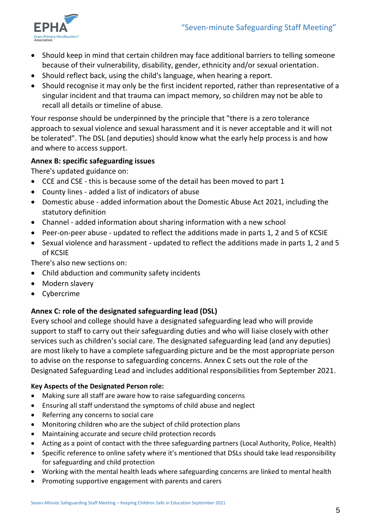

- Should keep in mind that certain children may face additional barriers to telling someone because of their vulnerability, disability, gender, ethnicity and/or sexual orientation.
- Should reflect back, using the child's language, when hearing a report.
- Should recognise it may only be the first incident reported, rather than representative of a singular incident and that trauma can impact memory, so children may not be able to recall all details or timeline of abuse.

Your response should be underpinned by the principle that "there is a zero tolerance approach to sexual violence and sexual harassment and it is never acceptable and it will not be tolerated". The DSL (and deputies) should know what the early help process is and how and where to access support.

#### **Annex B: specific safeguarding issues**

There's updated guidance on:

- CCE and CSE this is because some of the detail has been moved to part 1
- County lines added a list of indicators of abuse
- Domestic abuse added information about the Domestic Abuse Act 2021, including the statutory definition
- Channel added information about sharing information with a new school
- Peer-on-peer abuse updated to reflect the additions made in parts 1, 2 and 5 of KCSIE
- Sexual violence and harassment updated to reflect the additions made in parts 1, 2 and 5 of KCSIE

There's also new sections on:

- Child abduction and community safety incidents
- Modern slavery
- Cybercrime

## **Annex C: role of the designated safeguarding lead (DSL)**

Every school and college should have a designated safeguarding lead who will provide support to staff to carry out their safeguarding duties and who will liaise closely with other services such as children's social care. The designated safeguarding lead (and any deputies) are most likely to have a complete safeguarding picture and be the most appropriate person to advise on the response to safeguarding concerns. Annex C sets out the role of the Designated Safeguarding Lead and includes additional responsibilities from September 2021.

#### **Key Aspects of the Designated Person role:**

- Making sure all staff are aware how to raise safeguarding concerns
- Ensuring all staff understand the symptoms of child abuse and neglect
- Referring any concerns to social care
- Monitoring children who are the subject of child protection plans
- Maintaining accurate and secure child protection records
- Acting as a point of contact with the three safeguarding partners (Local Authority, Police, Health)
- Specific reference to online safety where it's mentioned that DSLs should take lead responsibility for safeguarding and child protection
- Working with the mental health leads where safeguarding concerns are linked to mental health
- Promoting supportive engagement with parents and carers